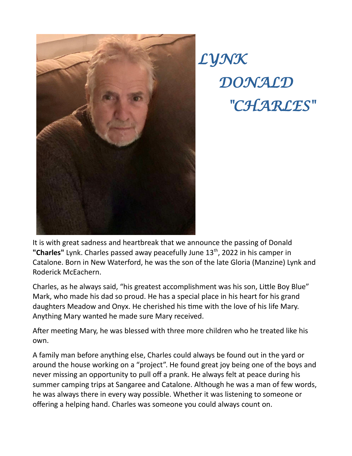

*LYNK DONALD "CHARLES"*

It is with great sadness and heartbreak that we announce the passing of Donald "Charles" Lynk. Charles passed away peacefully June 13<sup>th</sup>, 2022 in his camper in Catalone. Born in New Waterford, he was the son of the late Gloria (Manzine) Lynk and Roderick McEachern.

Charles, as he always said, "his greatest accomplishment was his son, Little Boy Blue" Mark, who made his dad so proud. He has a special place in his heart for his grand daughters Meadow and Onyx. He cherished his time with the love of his life Mary. Anything Mary wanted he made sure Mary received.

After meeting Mary, he was blessed with three more children who he treated like his own.

A family man before anything else, Charles could always be found out in the yard or around the house working on a "project". He found great joy being one of the boys and never missing an opportunity to pull off a prank. He always felt at peace during his summer camping trips at Sangaree and Catalone. Although he was a man of few words, he was always there in every way possible. Whether it was listening to someone or offering a helping hand. Charles was someone you could always count on.